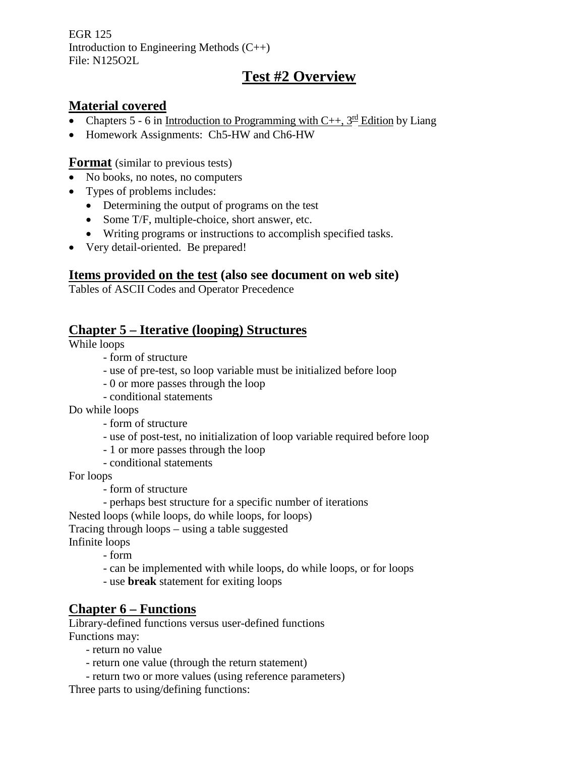EGR 125 Introduction to Engineering Methods (C++) File: N125O2L

# **Test #2 Overview**

### **Material covered**

- Chapters 5 6 in Introduction to Programming with C++,  $3^{\text{rd}}$  Edition by Liang
- Homework Assignments: Ch5-HW and Ch6-HW

**Format** (similar to previous tests)

- No books, no notes, no computers
- Types of problems includes:
	- Determining the output of programs on the test
	- Some T/F, multiple-choice, short answer, etc.
	- Writing programs or instructions to accomplish specified tasks.
- Very detail-oriented. Be prepared!

### **Items provided on the test (also see document on web site)**

Tables of ASCII Codes and Operator Precedence

### **Chapter 5 – Iterative (looping) Structures**

While loops

- form of structure
- use of pre-test, so loop variable must be initialized before loop
- 0 or more passes through the loop
- conditional statements

Do while loops

- form of structure
- use of post-test, no initialization of loop variable required before loop
- 1 or more passes through the loop
- conditional statements

For loops

- form of structure
- perhaps best structure for a specific number of iterations

Nested loops (while loops, do while loops, for loops)

Tracing through loops – using a table suggested

Infinite loops

- form
- can be implemented with while loops, do while loops, or for loops
- use **break** statement for exiting loops

## **Chapter 6 – Functions**

Library-defined functions versus user-defined functions Functions may:

- return no value
- return one value (through the return statement)
- return two or more values (using reference parameters)

Three parts to using/defining functions: